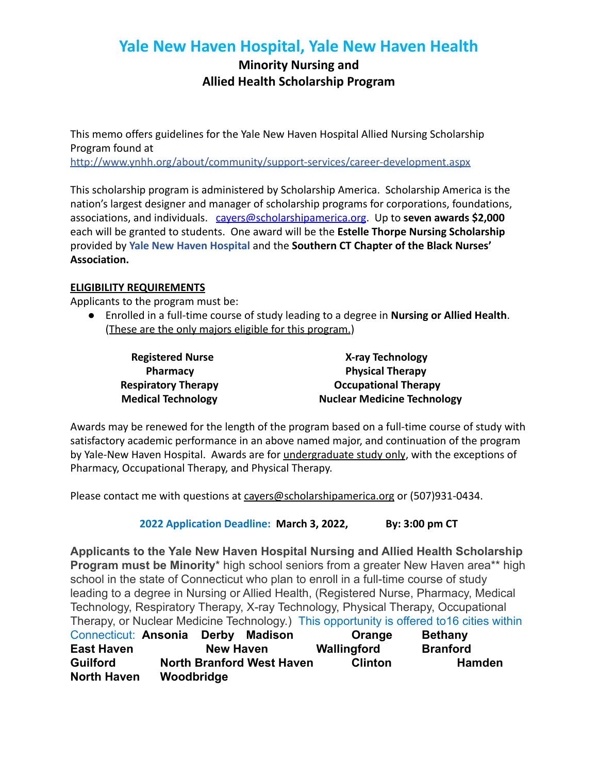## **Yale New Haven Hospital, Yale New Haven Health**

## **Minority Nursing and Allied Health Scholarship Program**

This memo offers guidelines for the Yale New Haven Hospital Allied Nursing Scholarship Program found at <http://www.ynhh.org/about/community/support-services/career-development.aspx>

This scholarship program is administered by Scholarship America. Scholarship America is the nation's largest designer and manager of scholarship programs for corporations, foundations, associations, and individuals. [cayers@scholarshipamerica.org](mailto:cayers@scholarshipamerica.org). Up to **seven awards \$2,000** each will be granted to students. One award will be the **Estelle Thorpe Nursing Scholarship** provided by **Yale New Haven Hospital** and the **Southern CT Chapter of the Black Nurses' Association.**

## **ELIGIBILITY REQUIREMENTS**

Applicants to the program must be:

● Enrolled in a full-time course of study leading to a degree in **Nursing or Allied Health**. (These are the only majors eligible for this program.)

**Registered Nurse X-ray Technology Pharmacy Physical Therapy Respiratory Therapy** *CCCUPATHERAPY CCCUPATHERAPY* **Medical Technology Nuclear Medicine Technology** 

Awards may be renewed for the length of the program based on a full-time course of study with satisfactory academic performance in an above named major, and continuation of the program by Yale-New Haven Hospital. Awards are for undergraduate study only, with the exceptions of Pharmacy, Occupational Therapy, and Physical Therapy.

Please contact me with questions at cavers@scholarshipamerica.org or (507)931-0434.

**2022 Application Deadline: March 3, 2022, By: 3:00 pm CT**

**Applicants to the Yale New Haven Hospital Nursing and Allied Health Scholarship Program must be Minority**\* high school seniors from a greater New Haven area\*\* high school in the state of Connecticut who plan to enroll in a full-time course of study leading to a degree in Nursing or Allied Health, (Registered Nurse, Pharmacy, Medical Technology, Respiratory Therapy, X-ray Technology, Physical Therapy, Occupational Therapy, or Nuclear Medicine Technology.) This opportunity is offered to16 cities within

| Connecticut: Ansonia |            | Derby            | Madison                          | Orange         | <b>Bethany</b>  |
|----------------------|------------|------------------|----------------------------------|----------------|-----------------|
| <b>East Haven</b>    |            | <b>New Haven</b> |                                  | Wallingford    | <b>Branford</b> |
| <b>Guilford</b>      |            |                  | <b>North Branford West Haven</b> | <b>Clinton</b> | <b>Hamden</b>   |
| <b>North Haven</b>   | Woodbridge |                  |                                  |                |                 |